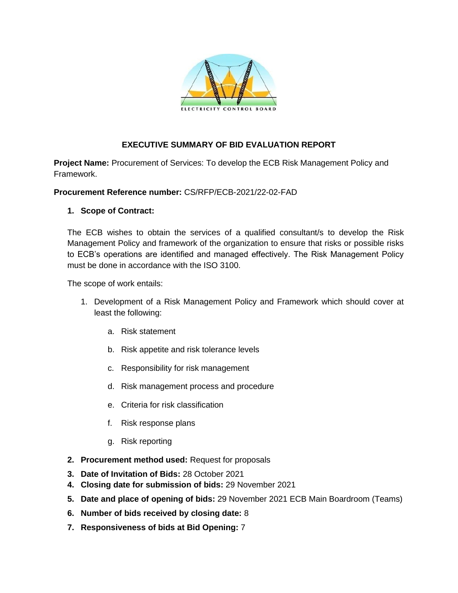

## **EXECUTIVE SUMMARY OF BID EVALUATION REPORT**

**Project Name:** Procurement of Services: To develop the ECB Risk Management Policy and Framework.

#### **Procurement Reference number:** CS/RFP/ECB-2021/22-02-FAD

### **1. Scope of Contract:**

The ECB wishes to obtain the services of a qualified consultant/s to develop the Risk Management Policy and framework of the organization to ensure that risks or possible risks to ECB's operations are identified and managed effectively. The Risk Management Policy must be done in accordance with the ISO 3100.

The scope of work entails:

- 1. Development of a Risk Management Policy and Framework which should cover at least the following:
	- a. Risk statement
	- b. Risk appetite and risk tolerance levels
	- c. Responsibility for risk management
	- d. Risk management process and procedure
	- e. Criteria for risk classification
	- f. Risk response plans
	- g. Risk reporting
- **2. Procurement method used:** Request for proposals
- **3. Date of Invitation of Bids:** 28 October 2021
- **4. Closing date for submission of bids:** 29 November 2021
- **5. Date and place of opening of bids:** 29 November 2021 ECB Main Boardroom (Teams)
- **6. Number of bids received by closing date:** 8
- **7. Responsiveness of bids at Bid Opening:** 7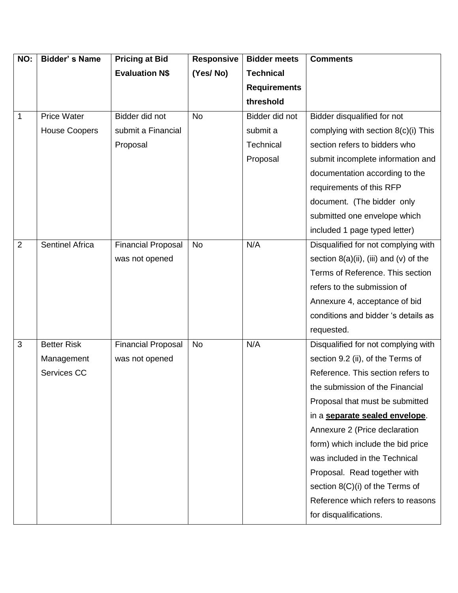| NO:            | <b>Bidder's Name</b>   | <b>Pricing at Bid</b>     | Responsive | <b>Bidder meets</b> | <b>Comments</b>                           |
|----------------|------------------------|---------------------------|------------|---------------------|-------------------------------------------|
|                |                        | <b>Evaluation N\$</b>     | (Yes/No)   | <b>Technical</b>    |                                           |
|                |                        |                           |            | <b>Requirements</b> |                                           |
|                |                        |                           |            | threshold           |                                           |
| 1              | <b>Price Water</b>     | Bidder did not            | <b>No</b>  | Bidder did not      | Bidder disqualified for not               |
|                | <b>House Coopers</b>   | submit a Financial        |            | submit a            | complying with section 8(c)(i) This       |
|                |                        | Proposal                  |            | Technical           | section refers to bidders who             |
|                |                        |                           |            | Proposal            | submit incomplete information and         |
|                |                        |                           |            |                     | documentation according to the            |
|                |                        |                           |            |                     | requirements of this RFP                  |
|                |                        |                           |            |                     | document. (The bidder only                |
|                |                        |                           |            |                     | submitted one envelope which              |
|                |                        |                           |            |                     | included 1 page typed letter)             |
| $\overline{2}$ | <b>Sentinel Africa</b> | <b>Financial Proposal</b> | <b>No</b>  | N/A                 | Disqualified for not complying with       |
|                |                        | was not opened            |            |                     | section $8(a)(ii)$ , (iii) and (v) of the |
|                |                        |                           |            |                     | Terms of Reference. This section          |
|                |                        |                           |            |                     | refers to the submission of               |
|                |                        |                           |            |                     | Annexure 4, acceptance of bid             |
|                |                        |                           |            |                     | conditions and bidder 's details as       |
|                |                        |                           |            |                     | requested.                                |
| $\overline{3}$ | <b>Better Risk</b>     | <b>Financial Proposal</b> | <b>No</b>  | N/A                 | Disqualified for not complying with       |
|                | Management             | was not opened            |            |                     | section 9.2 (ii), of the Terms of         |
|                | Services CC            |                           |            |                     | Reference. This section refers to         |
|                |                        |                           |            |                     | the submission of the Financial           |
|                |                        |                           |            |                     | Proposal that must be submitted           |
|                |                        |                           |            |                     | in a separate sealed envelope.            |
|                |                        |                           |            |                     | Annexure 2 (Price declaration             |
|                |                        |                           |            |                     | form) which include the bid price         |
|                |                        |                           |            |                     | was included in the Technical             |
|                |                        |                           |            |                     | Proposal. Read together with              |
|                |                        |                           |            |                     | section 8(C)(i) of the Terms of           |
|                |                        |                           |            |                     | Reference which refers to reasons         |
|                |                        |                           |            |                     | for disqualifications.                    |